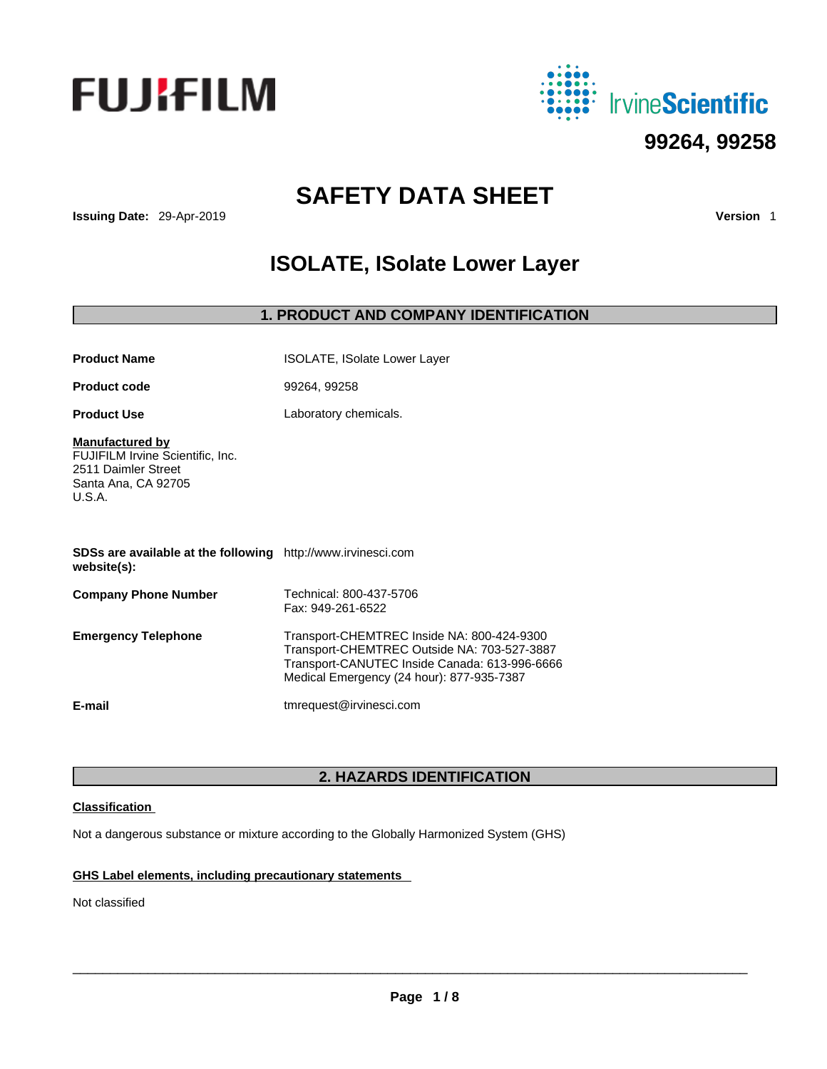



# **SAFETY DATA SHEET**

**Issuing Date:** 29-Apr-2019 **Version** 1

# **ISOLATE, ISolate Lower Layer**

# **1. PRODUCT AND COMPANY IDENTIFICATION**

| <b>Product Name</b>                                                                                                | <b>ISOLATE, ISolate Lower Layer</b>                                                                                                                                                     |
|--------------------------------------------------------------------------------------------------------------------|-----------------------------------------------------------------------------------------------------------------------------------------------------------------------------------------|
| <b>Product code</b>                                                                                                | 99264, 99258                                                                                                                                                                            |
| <b>Product Use</b>                                                                                                 | Laboratory chemicals.                                                                                                                                                                   |
| <b>Manufactured by</b><br>FUJIFILM Irvine Scientific, Inc.<br>2511 Daimler Street<br>Santa Ana, CA 92705<br>U.S.A. |                                                                                                                                                                                         |
| SDSs are available at the following http://www.irvinesci.com<br>website(s):                                        |                                                                                                                                                                                         |
| <b>Company Phone Number</b>                                                                                        | Technical: 800-437-5706<br>Fax: 949-261-6522                                                                                                                                            |
| <b>Emergency Telephone</b>                                                                                         | Transport-CHEMTREC Inside NA: 800-424-9300<br>Transport-CHEMTREC Outside NA: 703-527-3887<br>Transport-CANUTEC Inside Canada: 613-996-6666<br>Medical Emergency (24 hour): 877-935-7387 |
| E-mail                                                                                                             | tmrequest@irvinesci.com                                                                                                                                                                 |

# **2. HAZARDS IDENTIFICATION**

# **Classification**

Not a dangerous substance or mixture according to the Globally Harmonized System (GHS)

# **GHS Label elements, including precautionary statements**

Not classified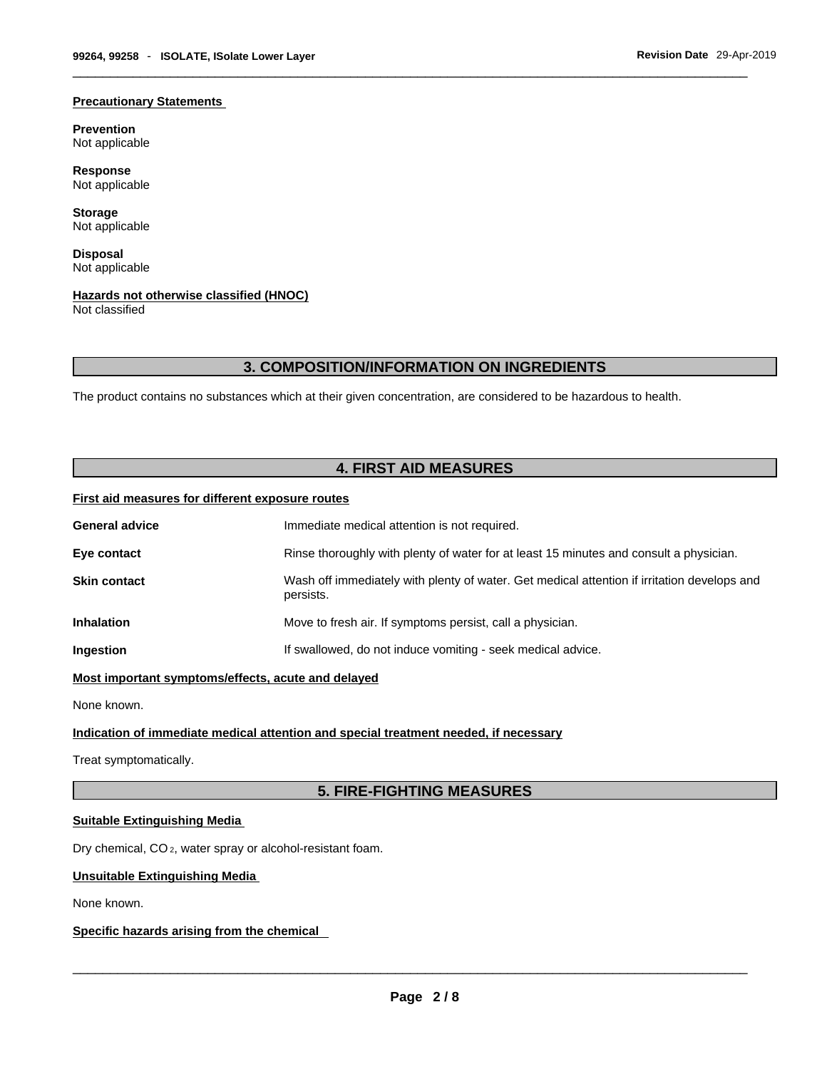#### **Precautionary Statements**

**Prevention** Not applicable

**Response** Not applicable

**Storage** Not applicable

**Disposal** Not applicable

# **Hazards not otherwise classified (HNOC)**

Not classified

# **3. COMPOSITION/INFORMATION ON INGREDIENTS**

The product contains no substances which at their given concentration, are considered to be hazardous to health.

# **4. FIRST AID MEASURES**

# **First aid measures for different exposure routes**

| <b>General advice</b> | Immediate medical attention is not required.                                                             |
|-----------------------|----------------------------------------------------------------------------------------------------------|
| Eye contact           | Rinse thoroughly with plenty of water for at least 15 minutes and consult a physician.                   |
| <b>Skin contact</b>   | Wash off immediately with plenty of water. Get medical attention if irritation develops and<br>persists. |
| <b>Inhalation</b>     | Move to fresh air. If symptoms persist, call a physician.                                                |
| Ingestion             | If swallowed, do not induce vomiting - seek medical advice.                                              |
|                       |                                                                                                          |

**Most important symptoms/effects, acute and delayed**

None known.

# **Indication of immediate medical attention and special treatment needed, if necessary**

Treat symptomatically.

# **5. FIRE-FIGHTING MEASURES**

## **Suitable Extinguishing Media**

Dry chemical, CO 2, water spray or alcohol-resistant foam.

## **Unsuitable Extinguishing Media**

None known.

## **Specific hazards arising from the chemical**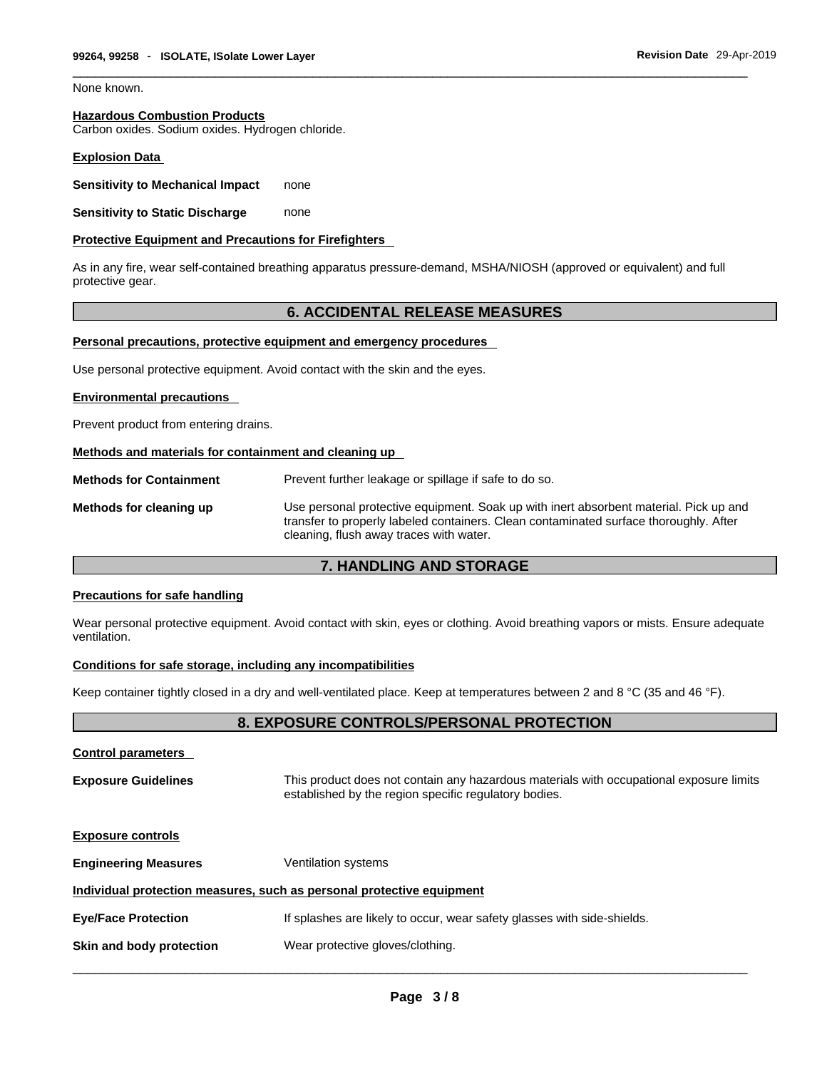None known.

# **Hazardous Combustion Products**

Carbon oxides. Sodium oxides. Hydrogen chloride.

## **Explosion Data**

**Sensitivity to Mechanical Impact** none

**Sensitivity to Static Discharge** none

#### **Protective Equipment and Precautions for Firefighters**

As in any fire, wear self-contained breathing apparatus pressure-demand, MSHA/NIOSH (approved or equivalent) and full protective gear.

# **6. ACCIDENTAL RELEASE MEASURES**

#### **Personal precautions, protective equipment and emergency procedures**

Use personal protective equipment. Avoid contact with the skin and the eyes.

#### **Environmental precautions**

Prevent product from entering drains.

#### **Methods and materials for containment and cleaning up**

**Methods for Containment** Prevent further leakage or spillage if safe to do so. **Methods for cleaning up** Use personal protective equipment. Soak up with inert absorbent material. Pick up and transfer to properly labeled containers. Clean contaminated surface thoroughly. After cleaning, flush away traces with water.

# **7. HANDLING AND STORAGE**

#### **Precautions for safe handling**

Wear personal protective equipment. Avoid contact with skin, eyes or clothing. Avoid breathing vapors or mists. Ensure adequate ventilation.

## **Conditions for safe storage, including any incompatibilities**

Keep container tightly closed in a dry and well-ventilated place. Keep at temperatures between 2 and 8 °C (35 and 46 °F).

# **8. EXPOSURE CONTROLS/PERSONAL PROTECTION**

| <b>Control parameters</b>   |                                                                                                                                                  |
|-----------------------------|--------------------------------------------------------------------------------------------------------------------------------------------------|
| <b>Exposure Guidelines</b>  | This product does not contain any hazardous materials with occupational exposure limits<br>established by the region specific regulatory bodies. |
| <b>Exposure controls</b>    |                                                                                                                                                  |
| <b>Engineering Measures</b> | <b>Ventilation systems</b>                                                                                                                       |
|                             | Individual protection measures, such as personal protective equipment                                                                            |
| <b>Eye/Face Protection</b>  | If splashes are likely to occur, wear safety glasses with side-shields.                                                                          |
| Skin and body protection    | Wear protective gloves/clothing.                                                                                                                 |
|                             |                                                                                                                                                  |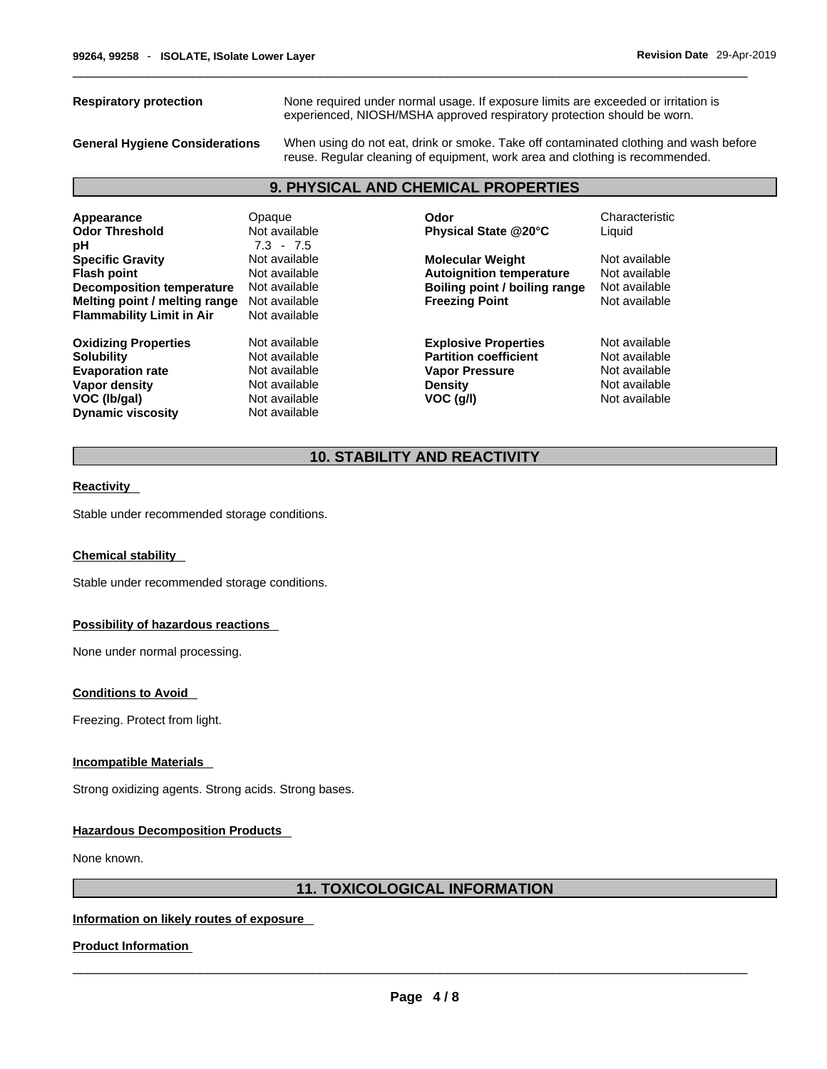**Respiratory protection** None required under normal usage. If exposure limits are exceeded or irritation is experienced, NIOSH/MSHA approved respiratory protection should be worn.

**General Hygiene Considerations** When using do not eat, drink or smoke. Take off contaminated clothing and wash before reuse. Regular cleaning of equipment, work area and clothing is recommended.

# **9. PHYSICAL AND CHEMICAL PROPERTIES**

| Appearance<br><b>Odor Threshold</b><br>рH                                                                                                | Opaque<br>Not available<br>$7.3 - 7.5$                                                             | Odor<br>Physical State @20°C                                                                                          | Characteristic<br>Liquid                                                          |
|------------------------------------------------------------------------------------------------------------------------------------------|----------------------------------------------------------------------------------------------------|-----------------------------------------------------------------------------------------------------------------------|-----------------------------------------------------------------------------------|
| <b>Specific Gravity</b><br><b>Flash point</b><br>Decomposition temperature<br>Melting point / melting range                              | Not available<br>Not available<br>Not available<br>Not available                                   | <b>Molecular Weight</b><br><b>Autoignition temperature</b><br>Boiling point / boiling range<br><b>Freezing Point</b>  | Not available<br>Not available<br>Not available<br>Not available                  |
| <b>Flammability Limit in Air</b>                                                                                                         | Not available                                                                                      |                                                                                                                       |                                                                                   |
| <b>Oxidizing Properties</b><br><b>Solubility</b><br><b>Evaporation rate</b><br>Vapor density<br>VOC (Ib/gal)<br><b>Dynamic viscosity</b> | Not available<br>Not available<br>Not available<br>Not available<br>Not available<br>Not available | <b>Explosive Properties</b><br><b>Partition coefficient</b><br><b>Vapor Pressure</b><br><b>Density</b><br>$VOC$ (g/l) | Not available<br>Not available<br>Not available<br>Not available<br>Not available |

# **10. STABILITY AND REACTIVITY**

#### **Reactivity**

Stable under recommended storage conditions.

#### **Chemical stability**

Stable under recommended storage conditions.

#### **Possibility of hazardous reactions**

None under normal processing.

#### **Conditions to Avoid**

Freezing. Protect from light.

#### **Incompatible Materials**

Strong oxidizing agents. Strong acids. Strong bases.

## **Hazardous Decomposition Products**

None known.

# **11. TOXICOLOGICAL INFORMATION**

## **Information on likely routes of exposure**

# **Product Information**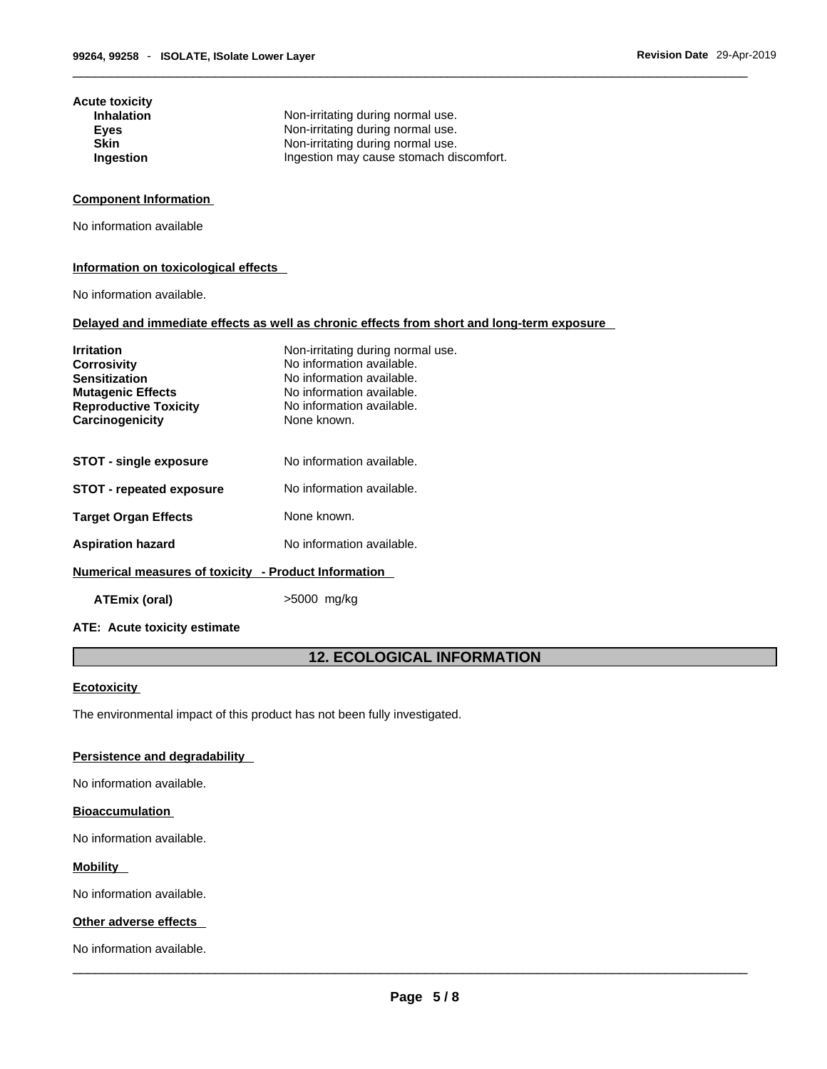| Acute toxicity<br><b>Inhalation</b> | Non-irritating during normal use.       |
|-------------------------------------|-----------------------------------------|
| <b>Eyes</b>                         | Non-irritating during normal use.       |
| <b>Skin</b>                         | Non-irritating during normal use.       |
| Ingestion                           | Ingestion may cause stomach discomfort. |

## **Component Information**

No information available

#### **Information on toxicological effects**

No information available.

#### **Delayed and immediate effects as well as chronic effects from short and long-term exposure**

| <b>Irritation</b><br><b>Corrosivity</b><br><b>Sensitization</b><br><b>Mutagenic Effects</b><br><b>Reproductive Toxicity</b><br>Carcinogenicity | Non-irritating during normal use.<br>No information available.<br>No information available.<br>No information available.<br>No information available.<br>None known. |
|------------------------------------------------------------------------------------------------------------------------------------------------|----------------------------------------------------------------------------------------------------------------------------------------------------------------------|
| <b>STOT - single exposure</b>                                                                                                                  | No information available.                                                                                                                                            |
| <b>STOT - repeated exposure</b>                                                                                                                | No information available.                                                                                                                                            |
| <b>Target Organ Effects</b>                                                                                                                    | None known.                                                                                                                                                          |
| <b>Aspiration hazard</b>                                                                                                                       | No information available.                                                                                                                                            |
| Numerical measures of toxicity - Product Information                                                                                           |                                                                                                                                                                      |

**ATEmix (oral)** >5000 mg/kg

#### **ATE: Acute toxicity estimate**

# **12. ECOLOGICAL INFORMATION**

#### **Ecotoxicity**

The environmental impact of this product has not been fully investigated.

# **Persistence and degradability**

No information available.

#### **Bioaccumulation**

No information available.

#### **Mobility**

No information available.

## **Other adverse effects**

No information available.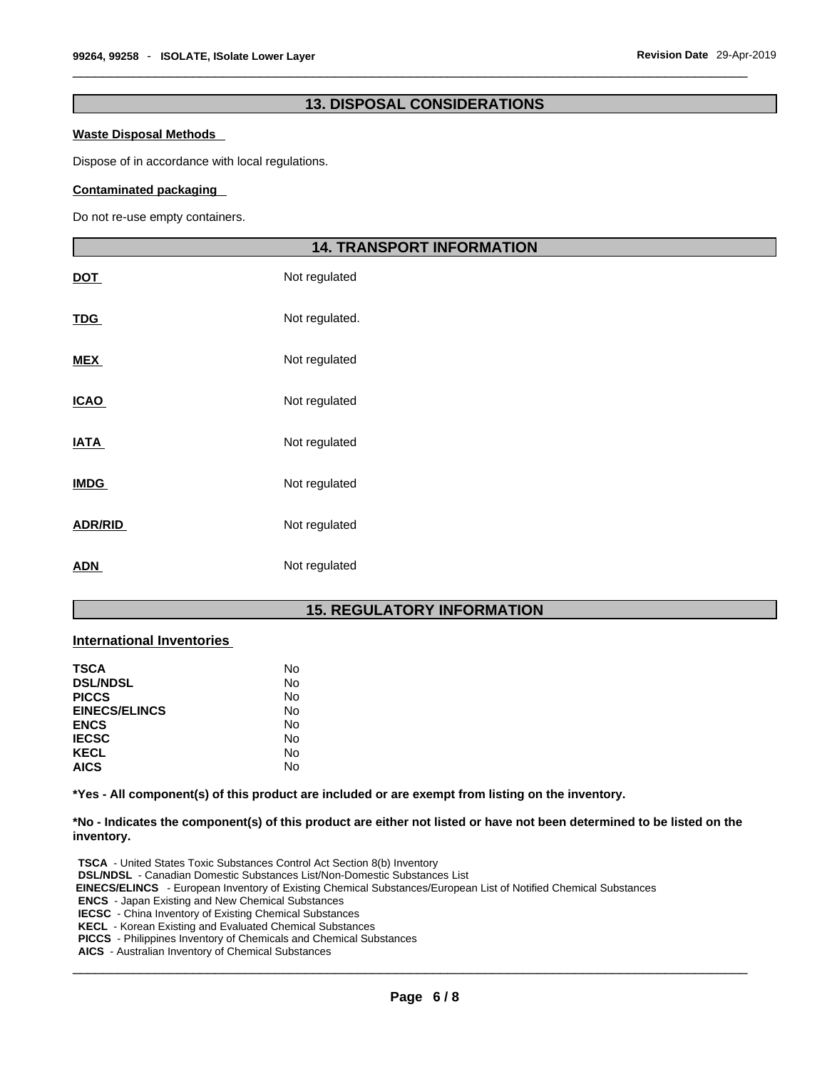# **13. DISPOSAL CONSIDERATIONS**

#### **Waste Disposal Methods**

Dispose of in accordance with local regulations.

#### **Contaminated packaging**

Do not re-use empty containers.

|                | <b>14. TRANSPORT INFORMATION</b> |  |
|----------------|----------------------------------|--|
| <u>DOT</u>     | Not regulated                    |  |
| <u>TDG</u>     | Not regulated.                   |  |
| <b>MEX</b>     | Not regulated                    |  |
| <u>ICAO</u>    | Not regulated                    |  |
| <b>ATA</b>     | Not regulated                    |  |
| <b>IMDG</b>    | Not regulated                    |  |
| <b>ADR/RID</b> | Not regulated                    |  |
| <u>ADN</u>     | Not regulated                    |  |

# **15. REGULATORY INFORMATION**

## **International Inventories**

| No |
|----|
| No |
| No |
| No |
| No |
| No |
| No |
| No |
|    |

**\*Yes - All component(s) of this product are included or are exempt from listing on the inventory.**

\*No - Indicates the component(s) of this product are either not listed or have not been determined to be listed on the **inventory.**

**TSCA** - United States Toxic Substances Control Act Section 8(b) Inventory **DSL/NDSL** - Canadian Domestic Substances List/Non-Domestic Substances List  **EINECS/ELINCS** - European Inventory of Existing Chemical Substances/European List of Notified Chemical Substances **ENCS** - Japan Existing and New Chemical Substances **IECSC** - China Inventory of Existing Chemical Substances **KECL** - Korean Existing and Evaluated Chemical Substances **PICCS** - Philippines Inventory of Chemicals and Chemical Substances **AICS** - Australian Inventory of Chemical Substances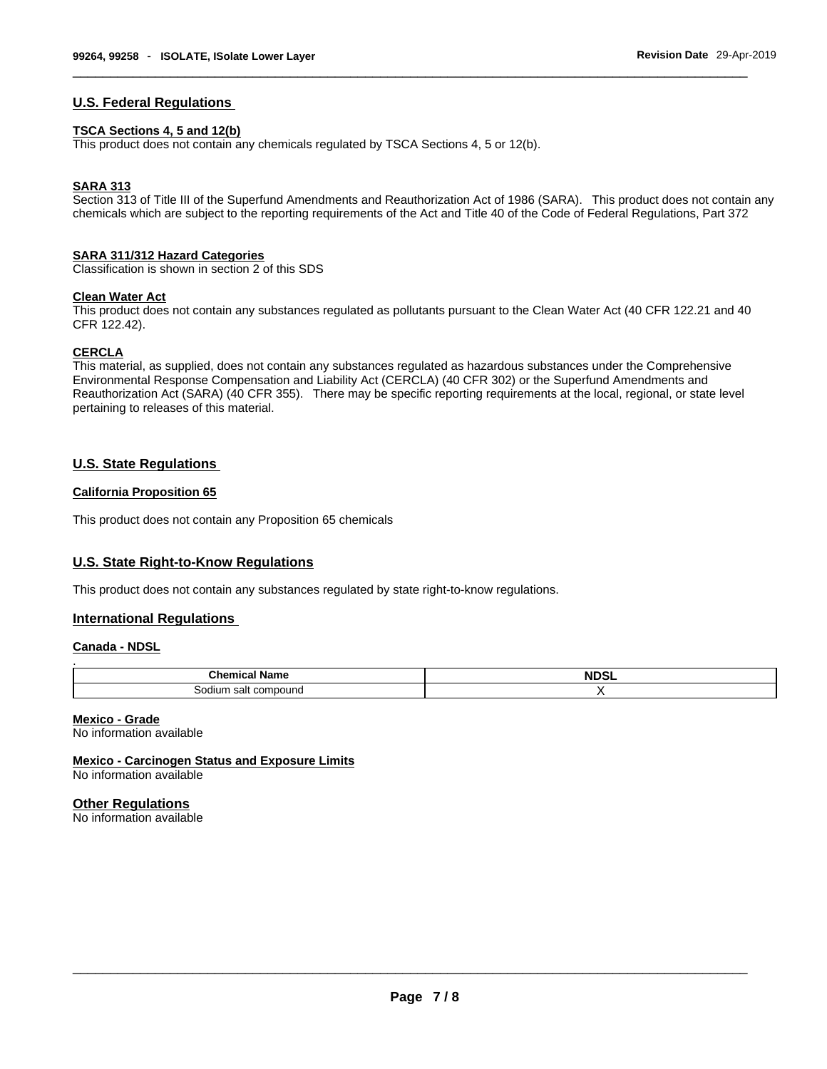## **U.S. Federal Regulations**

#### **TSCA Sections 4, 5 and 12(b)**

This product does not contain any chemicals regulated by TSCA Sections 4, 5 or 12(b).

# **SARA 313**

Section 313 of Title III of the Superfund Amendments and Reauthorization Act of 1986 (SARA). This product does not contain any chemicals which are subject to the reporting requirements of the Act and Title 40 of the Code of Federal Regulations, Part 372

#### **SARA 311/312 Hazard Categories**

Classification is shown in section 2 of this SDS

## **Clean Water Act**

This product does not contain any substances regulated as pollutants pursuant to the Clean Water Act (40 CFR 122.21 and 40 CFR 122.42).

#### **CERCLA**

This material, as supplied, does not contain any substances regulated as hazardous substances under the Comprehensive Environmental Response Compensation and Liability Act (CERCLA) (40 CFR 302) or the Superfund Amendments and Reauthorization Act (SARA) (40 CFR 355). There may be specific reporting requirements at the local, regional, or state level pertaining to releases of this material.

# **U.S. State Regulations**

## **California Proposition 65**

This product does not contain any Proposition 65 chemicals

## **U.S. State Right-to-Know Regulations**

This product does not contain any substances regulated by state right-to-know regulations.

## **International Regulations**

#### **Canada - NDSL**

| <b>Chemical Name</b> | <b>NDSL</b> |
|----------------------|-------------|
| Sodium salt compound |             |

#### **Mexico - Grade**

No information available

**Mexico - Carcinogen Status and Exposure Limits** No information available

## **Other Regulations**

No information available